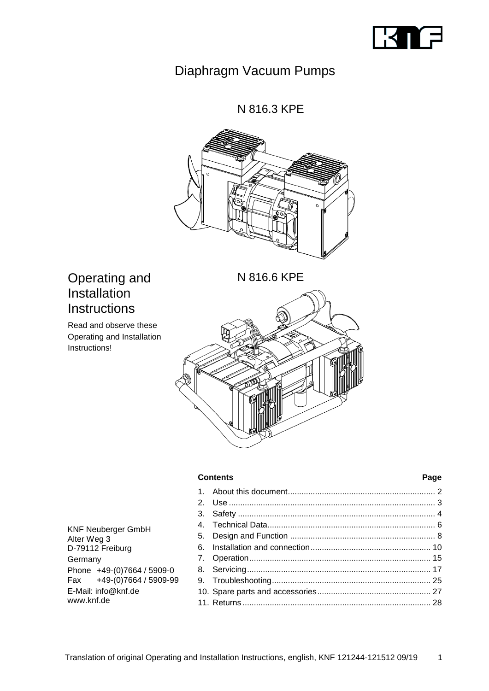

# Diaphragm Vacuum Pumps

N 816.3 KPE



N 816.6 KPE

# Operating and Installation **Instructions**

Read and observe these Operating and Installation Instructions!



#### **Contents Page**

1. [About this document.................................................................](#page-1-0) 2 2. Use [...........................................................................................](#page-2-0) 3 3. Safety [.......................................................................................](#page-3-0) 4 4. [Technical Data..........................................................................](#page-5-0) 6 5. Design and Function [................................................................](#page-7-0) 8 6. [Installation and connection.....................................................](#page-9-0) 10 7. [Operation................................................................................](#page-14-0) 15 8. [Servicing.................................................................................](#page-16-0) 17 9. [Troubleshooting......................................................................](#page-24-0) 25 10. [Spare parts and accessories..................................................](#page-26-0) 27 11. Returns [...................................................................................](#page-27-0) 28

KNF Neuberger GmbH Alter Weg 3 D-79112 Freiburg Germany Phone +49-(0)7664 / 5909-0 Fax +49-(0)7664 / 5909-99 E-Mail: info@knf.de www.knf.de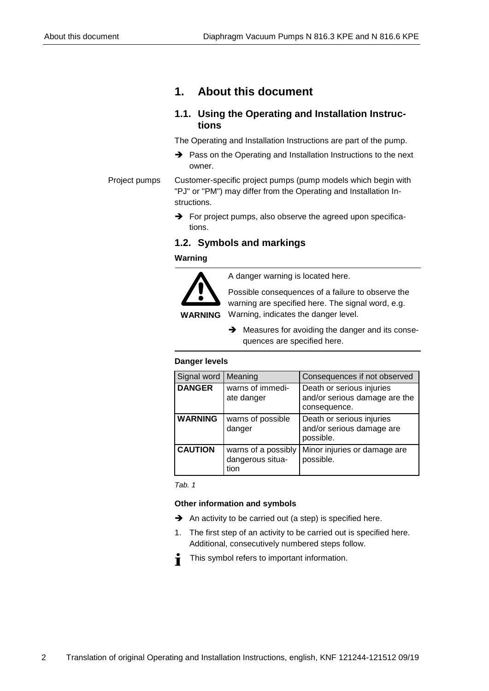# <span id="page-1-0"></span>**1. About this document**

## **1.1. Using the Operating and Installation Instructions**

The Operating and Installation Instructions are part of the pump.

➔ Pass on the Operating and Installation Instructions to the next owner.

Customer-specific project pumps (pump models which begin with "PJ" or "PM") may differ from the Operating and Installation Instructions. Project pumps

> **→** For project pumps, also observe the agreed upon specifications.

## **1.2. Symbols and markings**

## **Warning**



A danger warning is located here.

Possible consequences of a failure to observe the warning are specified here. The signal word, e.g. Warning, indicates the danger level.

➔ Measures for avoiding the danger and its consequences are specified here.

## **Danger levels**

| Signal word    | Meaning                                         | Consequences if not observed                                               |
|----------------|-------------------------------------------------|----------------------------------------------------------------------------|
| <b>DANGER</b>  | warns of immedi-<br>ate danger                  | Death or serious injuries<br>and/or serious damage are the<br>consequence. |
| <b>WARNING</b> | warns of possible<br>danger                     | Death or serious injuries<br>and/or serious damage are<br>possible.        |
| <b>CAUTION</b> | warns of a possibly<br>dangerous situa-<br>tion | Minor injuries or damage are<br>possible.                                  |

*Tab. 1*

## **Other information and symbols**

- **→** An activity to be carried out (a step) is specified here.
- 1. The first step of an activity to be carried out is specified here. Additional, consecutively numbered steps follow.
- This symbol refers to important information. Ť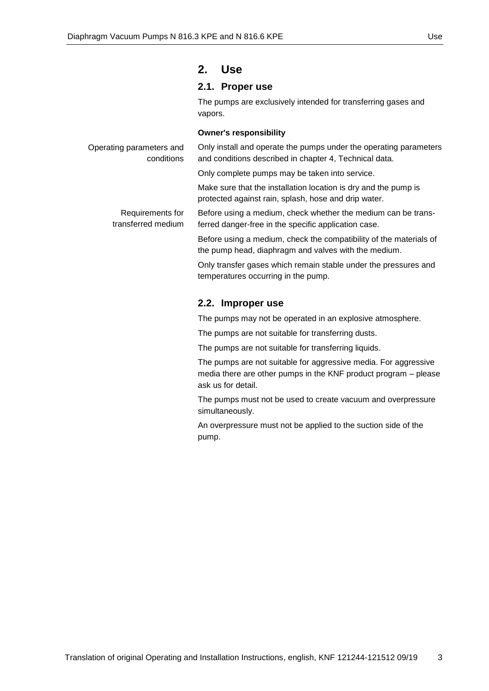## <span id="page-2-0"></span>**2. Use**

## **2.1. Proper use**

The pumps are exclusively intended for transferring gases and vapors.

#### **Owner's responsibility**

| Operating parameters and<br>conditions | Only install and operate the pumps under the operating parameters<br>and conditions described in chapter 4, Technical data. |
|----------------------------------------|-----------------------------------------------------------------------------------------------------------------------------|
|                                        | Only complete pumps may be taken into service.                                                                              |
|                                        | Make sure that the installation location is dry and the pump is<br>protected against rain, splash, hose and drip water.     |
| Requirements for<br>transferred medium | Before using a medium, check whether the medium can be trans-<br>ferred danger-free in the specific application case.       |
|                                        | Before using a medium, check the compatibility of the materials of<br>the pump head, diaphragm and valves with the medium.  |
|                                        | Only transfer gases which remain stable under the pressures and<br>temperatures occurring in the pump.                      |
|                                        |                                                                                                                             |

## **2.2. Improper use**

The pumps may not be operated in an explosive atmosphere.

The pumps are not suitable for transferring dusts.

The pumps are not suitable for transferring liquids.

The pumps are not suitable for aggressive media. For aggressive media there are other pumps in the KNF product program – please ask us for detail.

The pumps must not be used to create vacuum and overpressure simultaneously.

An overpressure must not be applied to the suction side of the pump.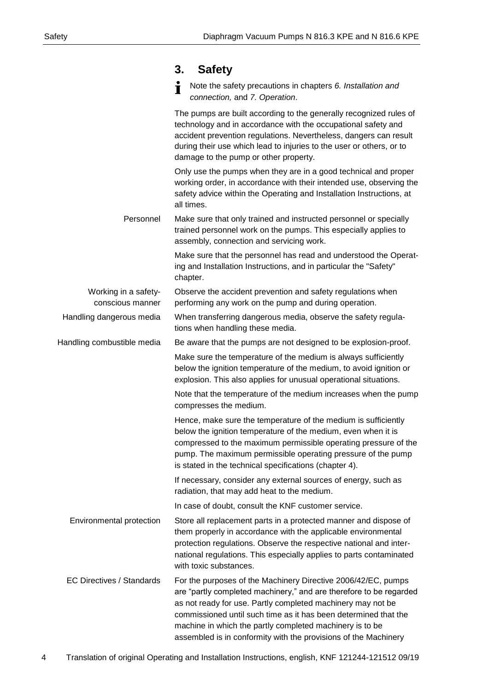<span id="page-3-0"></span>

|                                          | <b>Safety</b><br>3.                                                                                                                                                                                                                                                                                                                                                                                  |
|------------------------------------------|------------------------------------------------------------------------------------------------------------------------------------------------------------------------------------------------------------------------------------------------------------------------------------------------------------------------------------------------------------------------------------------------------|
|                                          | Note the safety precautions in chapters 6. Installation and<br>connection, and 7. Operation.                                                                                                                                                                                                                                                                                                         |
|                                          | The pumps are built according to the generally recognized rules of<br>technology and in accordance with the occupational safety and<br>accident prevention regulations. Nevertheless, dangers can result<br>during their use which lead to injuries to the user or others, or to<br>damage to the pump or other property.                                                                            |
|                                          | Only use the pumps when they are in a good technical and proper<br>working order, in accordance with their intended use, observing the<br>safety advice within the Operating and Installation Instructions, at<br>all times.                                                                                                                                                                         |
| Personnel                                | Make sure that only trained and instructed personnel or specially<br>trained personnel work on the pumps. This especially applies to<br>assembly, connection and servicing work.                                                                                                                                                                                                                     |
|                                          | Make sure that the personnel has read and understood the Operat-<br>ing and Installation Instructions, and in particular the "Safety"<br>chapter.                                                                                                                                                                                                                                                    |
| Working in a safety-<br>conscious manner | Observe the accident prevention and safety regulations when<br>performing any work on the pump and during operation.                                                                                                                                                                                                                                                                                 |
| Handling dangerous media                 | When transferring dangerous media, observe the safety regula-<br>tions when handling these media.                                                                                                                                                                                                                                                                                                    |
| Handling combustible media               | Be aware that the pumps are not designed to be explosion-proof.                                                                                                                                                                                                                                                                                                                                      |
|                                          | Make sure the temperature of the medium is always sufficiently<br>below the ignition temperature of the medium, to avoid ignition or<br>explosion. This also applies for unusual operational situations.                                                                                                                                                                                             |
|                                          | Note that the temperature of the medium increases when the pump<br>compresses the medium.                                                                                                                                                                                                                                                                                                            |
|                                          | Hence, make sure the temperature of the medium is sufficiently<br>below the ignition temperature of the medium, even when it is<br>compressed to the maximum permissible operating pressure of the<br>pump. The maximum permissible operating pressure of the pump<br>is stated in the technical specifications (chapter 4).                                                                         |
|                                          | If necessary, consider any external sources of energy, such as<br>radiation, that may add heat to the medium.                                                                                                                                                                                                                                                                                        |
|                                          | In case of doubt, consult the KNF customer service.                                                                                                                                                                                                                                                                                                                                                  |
| Environmental protection                 | Store all replacement parts in a protected manner and dispose of<br>them properly in accordance with the applicable environmental<br>protection regulations. Observe the respective national and inter-<br>national regulations. This especially applies to parts contaminated<br>with toxic substances.                                                                                             |
| <b>EC Directives / Standards</b>         | For the purposes of the Machinery Directive 2006/42/EC, pumps<br>are "partly completed machinery," and are therefore to be regarded<br>as not ready for use. Partly completed machinery may not be<br>commissioned until such time as it has been determined that the<br>machine in which the partly completed machinery is to be<br>assembled is in conformity with the provisions of the Machinery |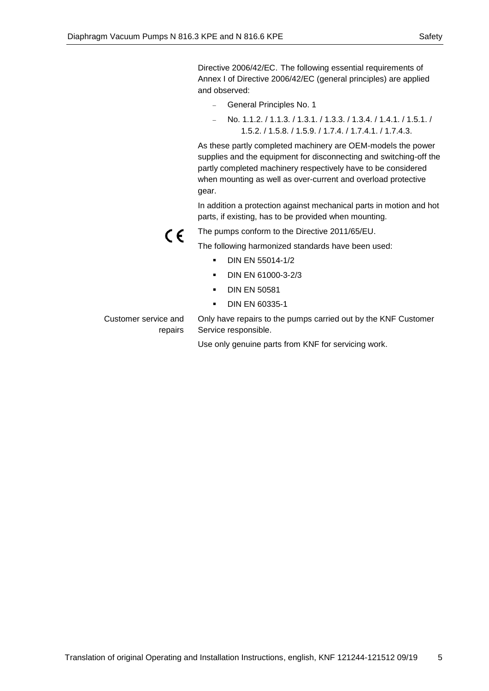Directive 2006/42/EC. The following essential requirements of Annex I of Directive 2006/42/EC (general principles) are applied and observed:

- − General Principles No. 1
- − No. 1.1.2. / 1.1.3. / 1.3.1. / 1.3.3. / 1.3.4. / 1.4.1. / 1.5.1. / 1.5.2. / 1.5.8. / 1.5.9. / 1.7.4. / 1.7.4.1. / 1.7.4.3.

As these partly completed machinery are OEM-models the power supplies and the equipment for disconnecting and switching-off the partly completed machinery respectively have to be considered when mounting as well as over-current and overload protective gear.

In addition a protection against mechanical parts in motion and hot parts, if existing, has to be provided when mounting.

 $\epsilon$ 

The pumps conform to the Directive 2011/65/EU.

The following harmonized standards have been used:

- DIN EN 55014-1/2
- DIN EN 61000-3-2/3
- DIN EN 50581
- DIN EN 60335-1

Customer service and repairs

Only have repairs to the pumps carried out by the KNF Customer Service responsible.

Use only genuine parts from KNF for servicing work.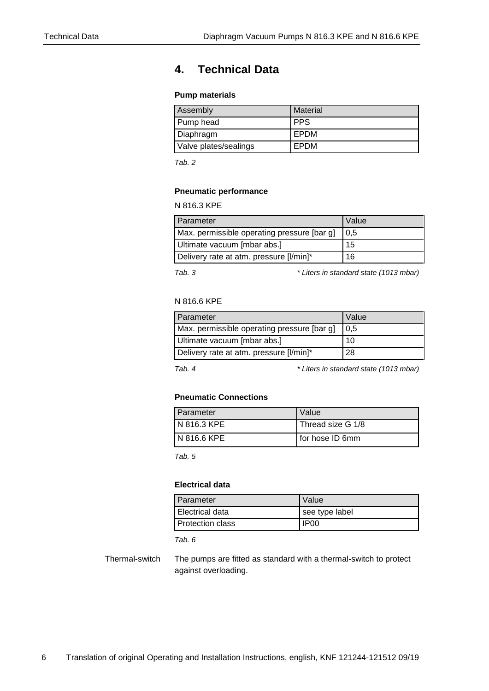# <span id="page-5-0"></span>**4. Technical Data**

## **Pump materials**

| Assembly              | <b>Material</b> |
|-----------------------|-----------------|
| Pump head             | <b>PPS</b>      |
| Diaphragm             | EPDM            |
| Valve plates/sealings | EPDM            |

*Tab. 2*

### **Pneumatic performance**

N 816.3 KPE

| <b>Parameter</b>                            | Value |
|---------------------------------------------|-------|
| Max. permissible operating pressure [bar g] | 0.5   |
| Ultimate vacuum [mbar abs.]                 | 15    |
| Delivery rate at atm. pressure [I/min]*     | 16    |

*Tab. 3 \* Liters in standard state (1013 mbar)*

## N 816.6 KPE

| Parameter                                   | Value |
|---------------------------------------------|-------|
| Max. permissible operating pressure [bar g] | 0.5   |
| Ultimate vacuum [mbar abs.]                 | 10    |
| Delivery rate at atm. pressure [I/min]*     | 28    |

*Tab. 4 \* Liters in standard state (1013 mbar)*

#### **Pneumatic Connections**

| Parameter     | Value             |
|---------------|-------------------|
| IN 816.3 KPE  | Thread size G 1/8 |
| I N 816.6 KPE | I for hose ID 6mm |

*Tab. 5*

## **Electrical data**

| Parameter               | Value            |
|-------------------------|------------------|
| Electrical data         | see type label   |
| <b>Protection class</b> | IP <sub>00</sub> |

*Tab. 6*

The pumps are fitted as standard with a thermal-switch to protect against overloading. Thermal-switch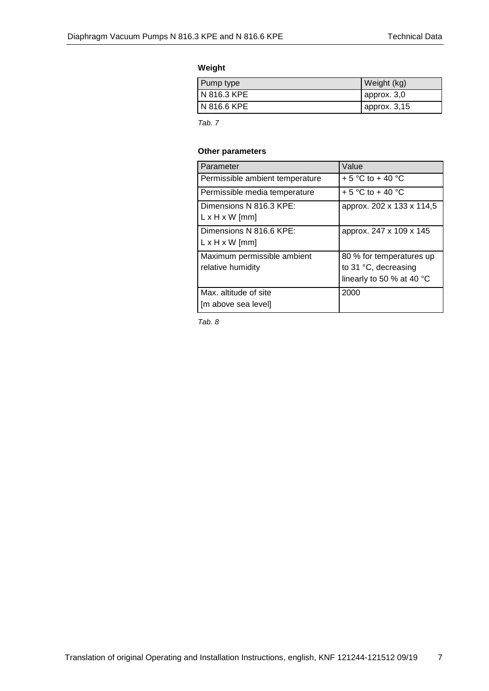## **Weight**

| Pump type   | Weight (kg)       |
|-------------|-------------------|
| N 816.3 KPE | $\mu$ approx. 3,0 |
| N 816.6 KPE | approx. $3,15$    |

*Tab. 7*

## **Other parameters**

| Parameter                                             | Value                                                                         |
|-------------------------------------------------------|-------------------------------------------------------------------------------|
| Permissible ambient temperature                       | + 5 °C to + 40 °C                                                             |
| Permissible media temperature                         | + 5 °C to + 40 °C                                                             |
| Dimensions N 816.3 KPE:<br>$L \times H \times W$ [mm] | approx. 202 x 133 x 114,5                                                     |
| Dimensions N 816.6 KPE:<br>$L \times H \times W$ [mm] | approx. 247 x 109 x 145                                                       |
| Maximum permissible ambient<br>relative humidity      | 80 % for temperatures up<br>to 31 °C, decreasing<br>linearly to 50 % at 40 °C |
| Max. altitude of site<br>[m above sea level]          | 2000                                                                          |

*Tab. 8*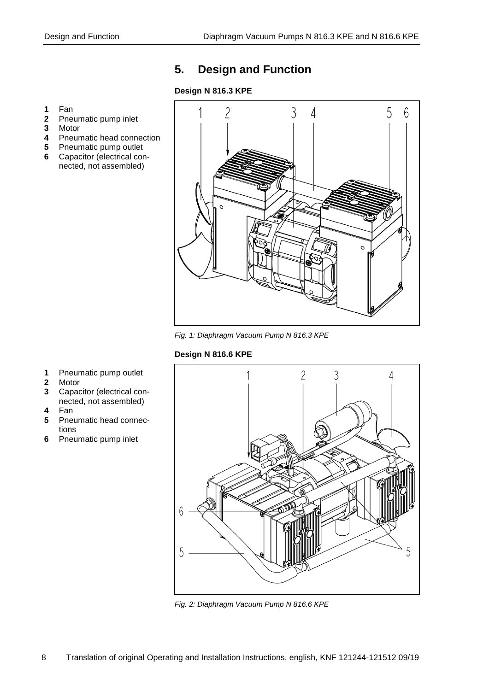# <span id="page-7-0"></span>**5. Design and Function**

## **Design N 816.3 KPE**

- **1** Fan
- **2** Pneumatic pump inlet
- **3** Motor
- **4** Pneumatic head connection
- **5** Pneumatic pump outlet
- **6** Capacitor (electrical connected, not assembled)



*Fig. 1: Diaphragm Vacuum Pump N 816.3 KPE*

## **Design N 816.6 KPE**

- **1** Pneumatic pump outlet
- **2** Motor
- **3** Capacitor (electrical connected, not assembled)
- **4** Fan
- **5** Pneumatic head connections
- **6** Pneumatic pump inlet



*Fig. 2: Diaphragm Vacuum Pump N 816.6 KPE*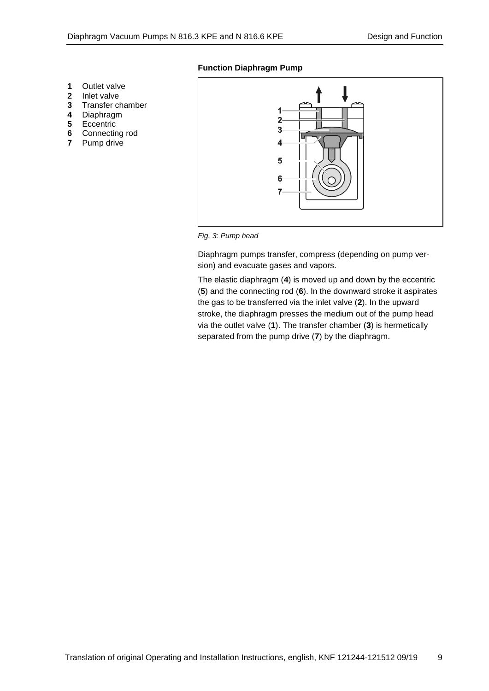## **Function Diaphragm Pump**

- **1** Outlet valve<br>**2** Inlet valve
- **2** Inlet valve
- **3** Transfer chamber
- 
- **4** Diaphragm **5** Eccentric
- **6** Connecting rod
- **7** Pump drive





Diaphragm pumps transfer, compress (depending on pump version) and evacuate gases and vapors.

The elastic diaphragm (**4**) is moved up and down by the eccentric (**5**) and the connecting rod (**6**). In the downward stroke it aspirates the gas to be transferred via the inlet valve (**2**). In the upward stroke, the diaphragm presses the medium out of the pump head via the outlet valve (**1**). The transfer chamber (**3**) is hermetically separated from the pump drive (**7**) by the diaphragm.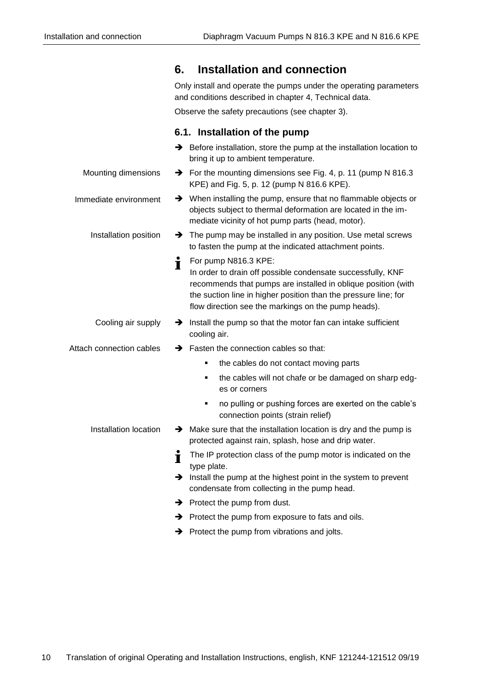<span id="page-9-0"></span>

|                          | <b>Installation and connection</b><br>6.                                                                                                                                                                                                                                             |
|--------------------------|--------------------------------------------------------------------------------------------------------------------------------------------------------------------------------------------------------------------------------------------------------------------------------------|
|                          | Only install and operate the pumps under the operating parameters<br>and conditions described in chapter 4, Technical data.                                                                                                                                                          |
|                          | Observe the safety precautions (see chapter 3).                                                                                                                                                                                                                                      |
|                          | 6.1. Installation of the pump                                                                                                                                                                                                                                                        |
|                          | $\rightarrow$ Before installation, store the pump at the installation location to<br>bring it up to ambient temperature.                                                                                                                                                             |
| Mounting dimensions      | $\rightarrow$ For the mounting dimensions see Fig. 4, p. 11 (pump N 816.3)<br>KPE) and Fig. 5, p. 12 (pump N 816.6 KPE).                                                                                                                                                             |
| Immediate environment    | When installing the pump, ensure that no flammable objects or<br>$\rightarrow$<br>objects subject to thermal deformation are located in the im-<br>mediate vicinity of hot pump parts (head, motor).                                                                                 |
| Installation position    | The pump may be installed in any position. Use metal screws<br>to fasten the pump at the indicated attachment points.                                                                                                                                                                |
|                          | Ť.<br>For pump N816.3 KPE:<br>In order to drain off possible condensate successfully, KNF<br>recommends that pumps are installed in oblique position (with<br>the suction line in higher position than the pressure line; for<br>flow direction see the markings on the pump heads). |
| Cooling air supply       | $\rightarrow$ Install the pump so that the motor fan can intake sufficient<br>cooling air.                                                                                                                                                                                           |
| Attach connection cables | $\rightarrow$ Fasten the connection cables so that:                                                                                                                                                                                                                                  |
|                          | the cables do not contact moving parts<br>٠                                                                                                                                                                                                                                          |
|                          | the cables will not chafe or be damaged on sharp edg-<br>٠<br>es or corners                                                                                                                                                                                                          |
|                          | no pulling or pushing forces are exerted on the cable's<br>٠<br>connection points (strain relief)                                                                                                                                                                                    |
| Installation location    | $\rightarrow$ Make sure that the installation location is dry and the pump is<br>protected against rain, splash, hose and drip water.                                                                                                                                                |
|                          | The IP protection class of the pump motor is indicated on the<br>Ť<br>type plate.                                                                                                                                                                                                    |
|                          | $\rightarrow$ Install the pump at the highest point in the system to prevent<br>condensate from collecting in the pump head.                                                                                                                                                         |
|                          | $\rightarrow$ Protect the pump from dust.                                                                                                                                                                                                                                            |
|                          | Protect the pump from exposure to fats and oils.<br>→                                                                                                                                                                                                                                |
|                          | Protect the pump from vibrations and jolts.<br>→                                                                                                                                                                                                                                     |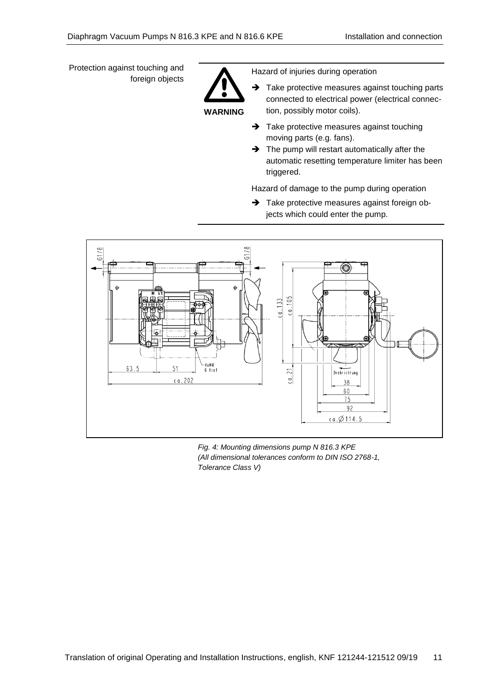Protection against touching and foreign objects



Hazard of injuries during operation

- ➔ Take protective measures against touching parts connected to electrical power (electrical connection, possibly motor coils).
- **→** Take protective measures against touching moving parts (e.g. fans).
- ➔ The pump will restart automatically after the automatic resetting temperature limiter has been triggered.

Hazard of damage to the pump during operation

→ Take protective measures against foreign objects which could enter the pump.



*Fig. 4: Mounting dimensions pump N 816.3 KPE (All dimensional tolerances conform to DIN ISO 2768-1, Tolerance Class V)*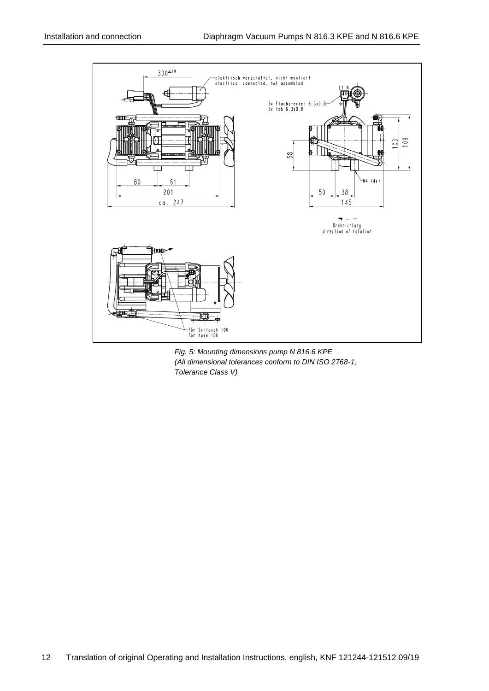

*Fig. 5: Mounting dimensions pump N 816.6 KPE (All dimensional tolerances conform to DIN ISO 2768-1, Tolerance Class V)*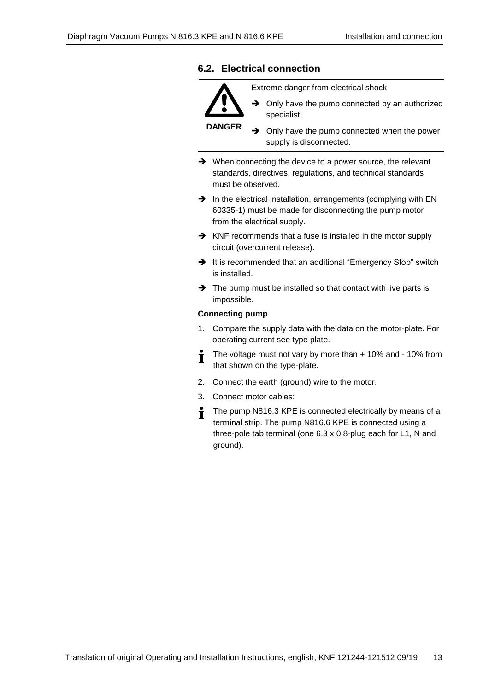## **6.2. Electrical connection**



Extreme danger from electrical shock

**→** Only have the pump connected by an authorized specialist.

➔ Only have the pump connected when the power supply is disconnected.

- ➔ When connecting the device to a power source, the relevant standards, directives, regulations, and technical standards must be observed.
- → In the electrical installation, arrangements (complying with EN 60335-1) must be made for disconnecting the pump motor from the electrical supply.
- ➔ KNF recommends that a fuse is installed in the motor supply circuit (overcurrent release).
- ➔ It is recommended that an additional "Emergency Stop" switch is installed.
- ➔ The pump must be installed so that contact with live parts is impossible.

## **Connecting pump**

- 1. Compare the supply data with the data on the motor-plate. For operating current see type plate.
- The voltage must not vary by more than + 10% and 10% from Ť that shown on the type-plate.
- 2. Connect the earth (ground) wire to the motor.
- 3. Connect motor cables:
- The pump N816.3 KPE is connected electrically by means of a  $\blacksquare$ terminal strip. The pump N816.6 KPE is connected using a three-pole tab terminal (one 6.3 x 0.8-plug each for L1, N and ground).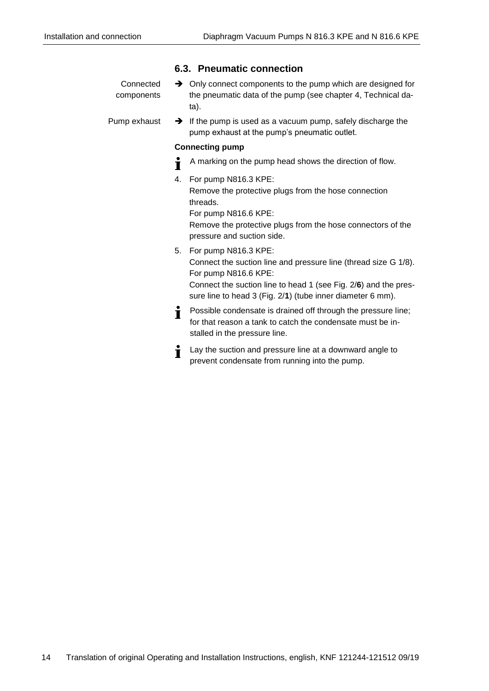|                         | 6.3. Pneumatic connection                                                                                                                                         |
|-------------------------|-------------------------------------------------------------------------------------------------------------------------------------------------------------------|
| Connected<br>components | $\rightarrow$ Only connect components to the pump which are designed for<br>the pneumatic data of the pump (see chapter 4, Technical da-<br>ta).                  |
| Pump exhaust            | $\rightarrow$ If the pump is used as a vacuum pump, safely discharge the<br>pump exhaust at the pump's pneumatic outlet.                                          |
|                         | <b>Connecting pump</b>                                                                                                                                            |
|                         | A marking on the pump head shows the direction of flow.<br>Ť                                                                                                      |
|                         | For pump N816.3 KPE:<br>4.                                                                                                                                        |
|                         | Remove the protective plugs from the hose connection<br>threads.<br>For pump N816.6 KPE:                                                                          |
|                         | Remove the protective plugs from the hose connectors of the<br>pressure and suction side.                                                                         |
|                         | 5. For pump N816.3 KPE:<br>Connect the suction line and pressure line (thread size G 1/8).<br>For pump N816.6 KPE:                                                |
|                         | Connect the suction line to head 1 (see Fig. 2/6) and the pres-<br>sure line to head 3 (Fig. 2/1) (tube inner diameter 6 mm).                                     |
|                         | Possible condensate is drained off through the pressure line;<br>İ<br>for that reason a tank to catch the condensate must be in-<br>stalled in the pressure line. |
|                         | Lay the suction and pressure line at a downward angle to<br>Ť<br>prevent condensate from running into the pump.                                                   |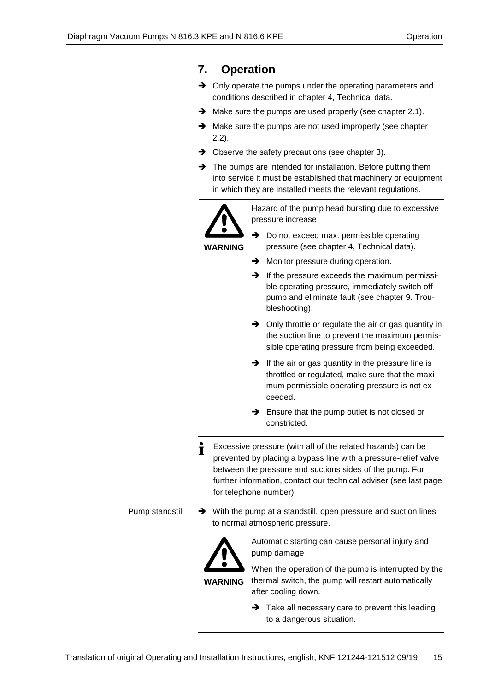# <span id="page-14-0"></span>**7. Operation**

- **→** Only operate the pumps under the operating parameters and conditions described in chapter 4, Technical data.
- ➔ Make sure the pumps are used properly (see chapter 2.1).
- ➔ Make sure the pumps are not used improperly (see chapter 2.2).
- **→** Observe the safety precautions (see chapter 3).
- ➔ The pumps are intended for installation. Before putting them into service it must be established that machinery or equipment in which they are installed meets the relevant regulations.



Hazard of the pump head bursting due to excessive pressure increase

- **→** Do not exceed max. permissible operating pressure (see chapter 4, Technical data).
- **→** Monitor pressure during operation.
- $\rightarrow$  If the pressure exceeds the maximum permissible operating pressure, immediately switch off pump and eliminate fault (see chapter 9. Troubleshooting).
- **→** Only throttle or regulate the air or gas quantity in the suction line to prevent the maximum permissible operating pressure from being exceeded.
- $\rightarrow$  If the air or gas quantity in the pressure line is throttled or regulated, make sure that the maximum permissible operating pressure is not exceeded.
- ➔ Ensure that the pump outlet is not closed or constricted.
- Excessive pressure (with all of the related hazards) can be Ť prevented by placing a bypass line with a pressure-relief valve between the pressure and suctions sides of the pump. For further information, contact our technical adviser (see last page for telephone number).

Pump standstill

➔ With the pump at a standstill, open pressure and suction lines to normal atmospheric pressure.



Automatic starting can cause personal injury and pump damage

**WARNING** When the operation of the pump is interrupted by the thermal switch, the pump will restart automatically after cooling down.

> **→** Take all necessary care to prevent this leading to a dangerous situation.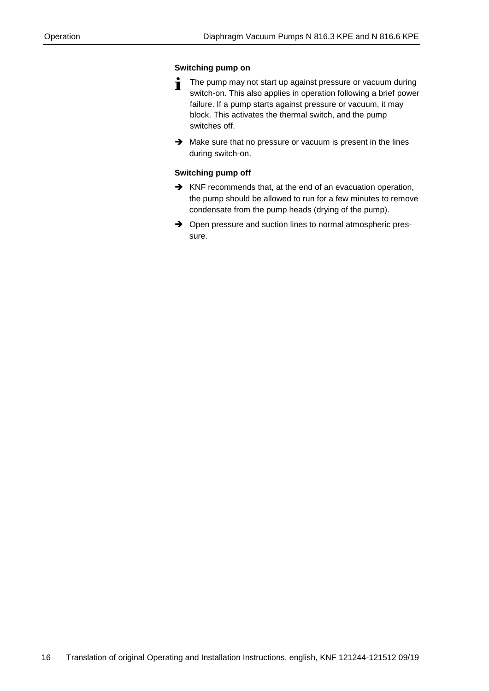## **Switching pump on**

- The pump may not start up against pressure or vacuum during Ť switch-on. This also applies in operation following a brief power failure. If a pump starts against pressure or vacuum, it may block. This activates the thermal switch, and the pump switches off.
- ➔ Make sure that no pressure or vacuum is present in the lines during switch-on.

## **Switching pump off**

- ➔ KNF recommends that, at the end of an evacuation operation, the pump should be allowed to run for a few minutes to remove condensate from the pump heads (drying of the pump).
- ➔ Open pressure and suction lines to normal atmospheric pressure.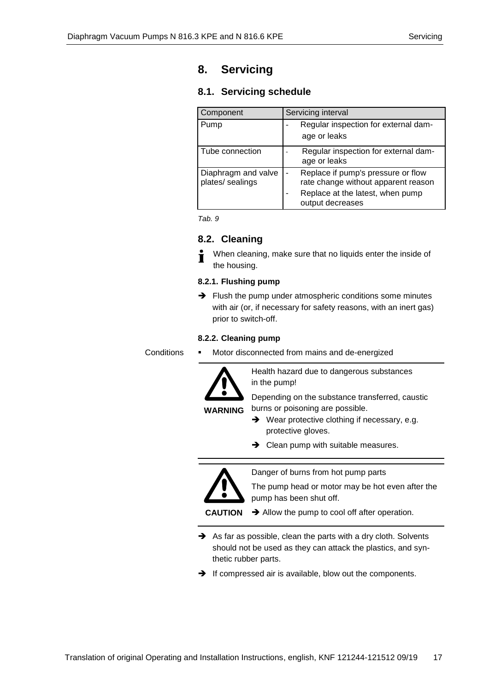# <span id="page-16-0"></span>**8. Servicing**

## **8.1. Servicing schedule**

| Component                               | Servicing interval                                                        |  |
|-----------------------------------------|---------------------------------------------------------------------------|--|
| Pump                                    | Regular inspection for external dam-<br>age or leaks                      |  |
| Tube connection                         | Regular inspection for external dam-<br>age or leaks                      |  |
| Diaphragm and valve<br>plates/ sealings | Replace if pump's pressure or flow<br>rate change without apparent reason |  |
|                                         | Replace at the latest, when pump<br>output decreases                      |  |



## **8.2. Cleaning**

When cleaning, make sure that no liquids enter the inside of  $\blacksquare$ the housing.

## **8.2.1. Flushing pump**

➔ Flush the pump under atmospheric conditions some minutes with air (or, if necessary for safety reasons, with an inert gas) prior to switch-off.

## **8.2.2. Cleaning pump**

Motor disconnected from mains and de-energized **Conditions** 



**WARNING**

Health hazard due to dangerous substances in the pump!

Depending on the substance transferred, caustic burns or poisoning are possible.

- ➔ Wear protective clothing if necessary, e.g. protective gloves.
- **→** Clean pump with suitable measures.



Danger of burns from hot pump parts

The pump head or motor may be hot even after the pump has been shut off.

**CAUTION →** Allow the pump to cool off after operation.

- ➔ As far as possible, clean the parts with a dry cloth. Solvents should not be used as they can attack the plastics, and synthetic rubber parts.
- ➔ If compressed air is available, blow out the components.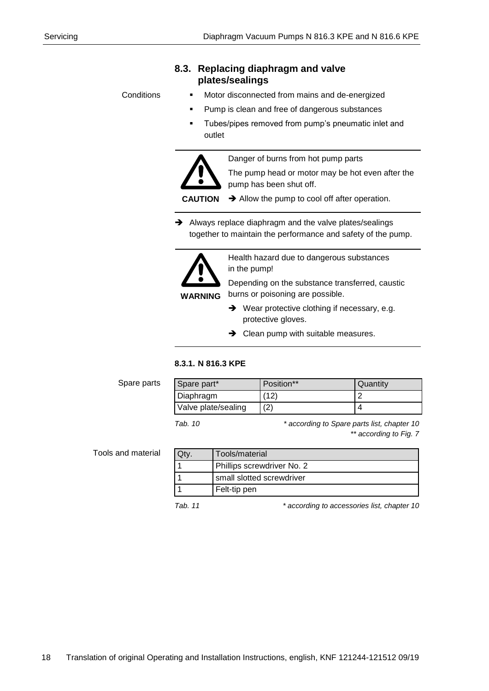## **8.3. Replacing diaphragm and valve plates/sealings**

**Conditions** 

- Motor disconnected from mains and de-energized
- Pump is clean and free of dangerous substances
- Tubes/pipes removed from pump's pneumatic inlet and outlet

Danger of burns from hot pump parts



The pump head or motor may be hot even after the pump has been shut off.

**CAUTION**

- ➔ Allow the pump to cool off after operation.
- ➔ Always replace diaphragm and the valve plates/sealings together to maintain the performance and safety of the pump.



Health hazard due to dangerous substances in the pump!

Depending on the substance transferred, caustic burns or poisoning are possible.

- ➔ Wear protective clothing if necessary, e.g. protective gloves.
- **→** Clean pump with suitable measures.

## **8.3.1. N 816.3 KPE**

Spare parts

| Spare part*         | Position** | Quantity |
|---------------------|------------|----------|
| Diaphragm           |            |          |
| Valve plate/sealing | / ຕ`       |          |

*Tab. 10 \* according to Spare parts list, chapter 10 \*\* according to Fig. 7*

Tools and material

| Tools/material             |  |
|----------------------------|--|
| Phillips screwdriver No. 2 |  |
| small slotted screwdriver  |  |
| Felt-tip pen               |  |

*Tab. 11 \* according to accessories list, chapter 10*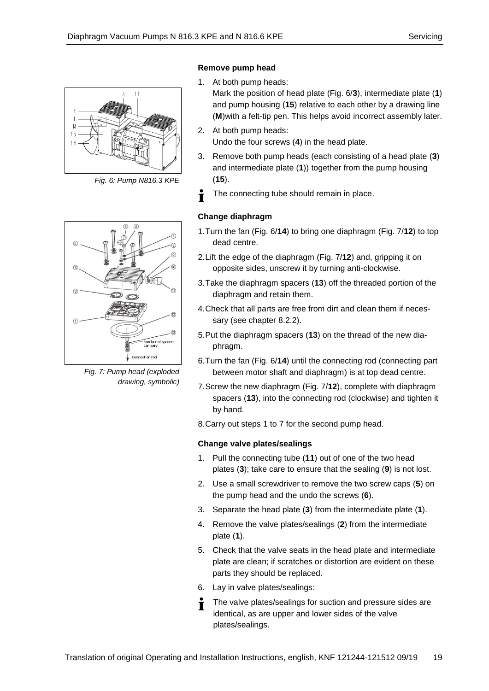

*Fig. 6: Pump N816.3 KPE*



*Fig. 7: Pump head (exploded drawing, symbolic)*

## **Remove pump head**

- 1. At both pump heads: Mark the position of head plate (Fig. 6/**3**), intermediate plate (**1**) and pump housing (**15**) relative to each other by a drawing line (**M**)with a felt-tip pen. This helps avoid incorrect assembly later.
- 2. At both pump heads: Undo the four screws (**4**) in the head plate.
- 3. Remove both pump heads (each consisting of a head plate (**3**) and intermediate plate (**1**)) together from the pump housing (**15**).
- Ť The connecting tube should remain in place.

## **Change diaphragm**

- 1.Turn the fan (Fig. 6/**14**) to bring one diaphragm (Fig. 7/**12**) to top dead centre.
- 2.Lift the edge of the diaphragm (Fig. 7/**12**) and, gripping it on opposite sides, unscrew it by turning anti-clockwise.
- 3.Take the diaphragm spacers (**13**) off the threaded portion of the diaphragm and retain them.
- 4.Check that all parts are free from dirt and clean them if necessary (see chapter 8.2.2).
- 5.Put the diaphragm spacers (**13**) on the thread of the new diaphragm.
- 6.Turn the fan (Fig. 6/**14**) until the connecting rod (connecting part between motor shaft and diaphragm) is at top dead centre.
- 7.Screw the new diaphragm (Fig. 7/**12**), complete with diaphragm spacers (**13**), into the connecting rod (clockwise) and tighten it by hand.

8.Carry out steps 1 to 7 for the second pump head.

## **Change valve plates/sealings**

- 1. Pull the connecting tube (**11**) out of one of the two head plates (**3**); take care to ensure that the sealing (**9**) is not lost.
- 2. Use a small screwdriver to remove the two screw caps (**5**) on the pump head and the undo the screws (**6**).
- 3. Separate the head plate (**3**) from the intermediate plate (**1**).
- 4. Remove the valve plates/sealings (**2**) from the intermediate plate (**1**).
- 5. Check that the valve seats in the head plate and intermediate plate are clean; if scratches or distortion are evident on these parts they should be replaced.
- 6. Lay in valve plates/sealings:
- The valve plates/sealings for suction and pressure sides are  $\blacksquare$ identical, as are upper and lower sides of the valve plates/sealings.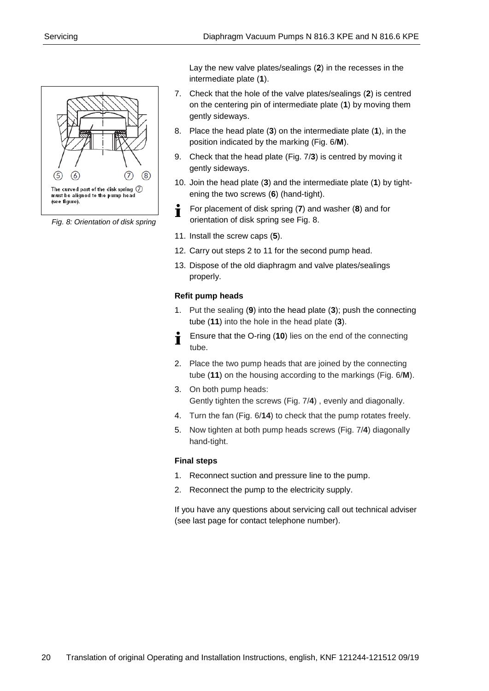

*Fig. 8: Orientation of disk spring*

Lay the new valve plates/sealings (**2**) in the recesses in the intermediate plate (**1**).

- 7. Check that the hole of the valve plates/sealings (**2**) is centred on the centering pin of intermediate plate (**1**) by moving them gently sideways.
- 8. Place the head plate (**3**) on the intermediate plate (**1**), in the position indicated by the marking (Fig. 6/**M**).
- 9. Check that the head plate (Fig. 7/**3**) is centred by moving it gently sideways.
- 10. Join the head plate (**3**) and the intermediate plate (**1**) by tightening the two screws (**6**) (hand-tight).
- For placement of disk spring (**7**) and washer (**8**) and for Ť orientation of disk spring see Fig. 8.
- 11. Install the screw caps (**5**).
- 12. Carry out steps 2 to 11 for the second pump head.
- 13. Dispose of the old diaphragm and valve plates/sealings properly.

## **Refit pump heads**

- 1. Put the sealing (**9**) into the head plate (**3**); push the connecting tube (**11**) into the hole in the head plate (**3**).
- Ensure that the O-ring (**10**) lies on the end of the connecting tube.
- 2. Place the two pump heads that are joined by the connecting tube (**11**) on the housing according to the markings (Fig. 6/**M**).
- 3. On both pump heads: Gently tighten the screws (Fig. 7/**4**) , evenly and diagonally.
- 4. Turn the fan (Fig. 6/**14**) to check that the pump rotates freely.
- 5. Now tighten at both pump heads screws (Fig. 7/**4**) diagonally hand-tight.

## **Final steps**

- 1. Reconnect suction and pressure line to the pump.
- 2. Reconnect the pump to the electricity supply.

If you have any questions about servicing call out technical adviser (see last page for contact telephone number).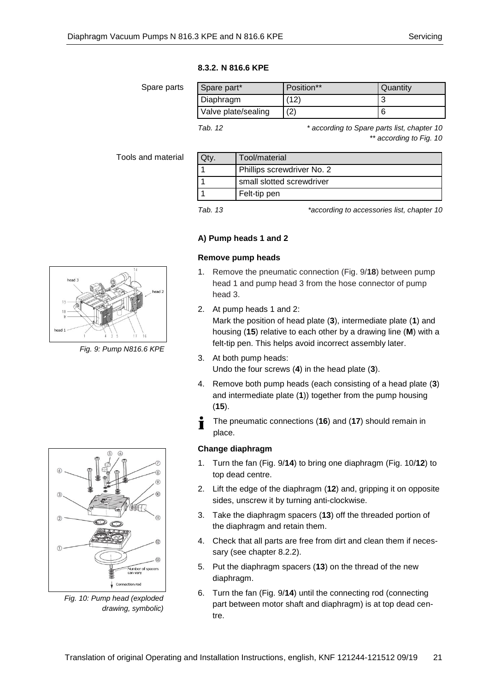## **8.3.2. N 816.6 KPE**

Spare parts

| Spare part*         | Position** | Quantity |
|---------------------|------------|----------|
| Diaphragm           | (12        |          |
| Valve plate/sealing |            |          |

*Tab. 12 \* according to Spare parts list, chapter 10 \*\* according to Fig. 10*

## Tools and material

| Tool/material              |
|----------------------------|
| Phillips screwdriver No. 2 |
| small slotted screwdriver  |
| Felt-tip pen               |
|                            |

*Tab. 13 \*according to accessories list, chapter 10*

## **A) Pump heads 1 and 2**

## **Remove pump heads**

- 1. Remove the pneumatic connection (Fig. 9/**18**) between pump head 1 and pump head 3 from the hose connector of pump head 3.
- 2. At pump heads 1 and 2:

Mark the position of head plate (**3**), intermediate plate (**1**) and housing (**15**) relative to each other by a drawing line (**M**) with a felt-tip pen. This helps avoid incorrect assembly later.

- 3. At both pump heads: Undo the four screws (**4**) in the head plate (**3**).
- 4. Remove both pump heads (each consisting of a head plate (**3**) and intermediate plate (**1**)) together from the pump housing (**15**).
- The pneumatic connections (**16**) and (**17**) should remain in Ť place.

## **Change diaphragm**

- 1. Turn the fan (Fig. 9/**14**) to bring one diaphragm (Fig. 10/**12**) to top dead centre.
- 2. Lift the edge of the diaphragm (**12**) and, gripping it on opposite sides, unscrew it by turning anti-clockwise.
- 3. Take the diaphragm spacers (**13**) off the threaded portion of the diaphragm and retain them.
- 4. Check that all parts are free from dirt and clean them if necessary (see chapter 8.2.2).
- 5. Put the diaphragm spacers (**13**) on the thread of the new diaphragm.
- 6. Turn the fan (Fig. 9/**14**) until the connecting rod (connecting part between motor shaft and diaphragm) is at top dead centre.



*Fig. 9: Pump N816.6 KPE*



*Fig. 10: Pump head (exploded drawing, symbolic)*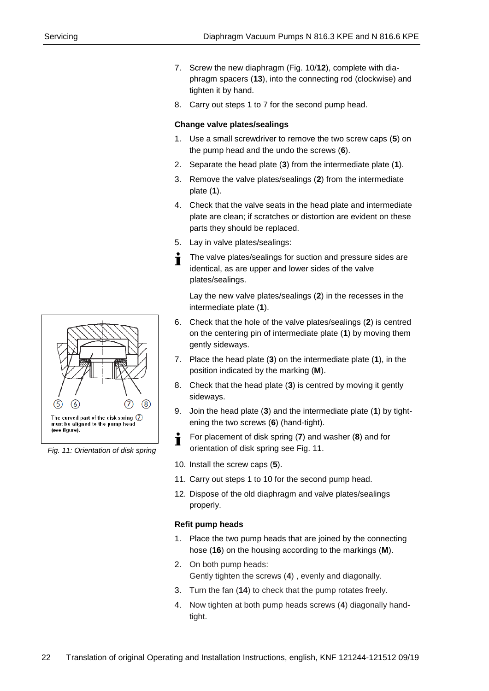- 7. Screw the new diaphragm (Fig. 10/**12**), complete with diaphragm spacers (**13**), into the connecting rod (clockwise) and tighten it by hand.
- 8. Carry out steps 1 to 7 for the second pump head.

## **Change valve plates/sealings**

- 1. Use a small screwdriver to remove the two screw caps (**5**) on the pump head and the undo the screws (**6**).
- 2. Separate the head plate (**3**) from the intermediate plate (**1**).
- 3. Remove the valve plates/sealings (**2**) from the intermediate plate (**1**).
- 4. Check that the valve seats in the head plate and intermediate plate are clean; if scratches or distortion are evident on these parts they should be replaced.
- 5. Lay in valve plates/sealings:
- The valve plates/sealings for suction and pressure sides are  $\blacksquare$ identical, as are upper and lower sides of the valve plates/sealings.

Lay the new valve plates/sealings (**2**) in the recesses in the intermediate plate (**1**).

- 6. Check that the hole of the valve plates/sealings (**2**) is centred on the centering pin of intermediate plate (**1**) by moving them gently sideways.
- 7. Place the head plate (**3**) on the intermediate plate (**1**), in the position indicated by the marking (**M**).
- 8. Check that the head plate (**3**) is centred by moving it gently sideways.
- 9. Join the head plate (**3**) and the intermediate plate (**1**) by tightening the two screws (**6**) (hand-tight).
- For placement of disk spring (**7**) and washer (**8**) and for Ť orientation of disk spring see Fig. 11.
- 10. Install the screw caps (**5**).
- 11. Carry out steps 1 to 10 for the second pump head.
- 12. Dispose of the old diaphragm and valve plates/sealings properly.

## **Refit pump heads**

- 1. Place the two pump heads that are joined by the connecting hose (**16**) on the housing according to the markings (**M**).
- 2. On both pump heads: Gently tighten the screws (**4**) , evenly and diagonally.
- 3. Turn the fan (**14**) to check that the pump rotates freely.
- 4. Now tighten at both pump heads screws (**4**) diagonally handtight.



*Fig. 11: Orientation of disk spring*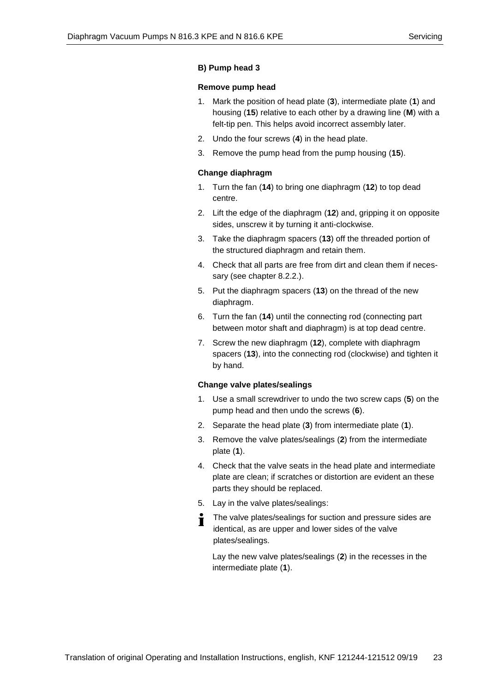#### **B) Pump head 3**

#### **Remove pump head**

- 1. Mark the position of head plate (**3**), intermediate plate (**1**) and housing (**15**) relative to each other by a drawing line (**M**) with a felt-tip pen. This helps avoid incorrect assembly later.
- 2. Undo the four screws (**4**) in the head plate.
- 3. Remove the pump head from the pump housing (**15**).

#### **Change diaphragm**

- 1. Turn the fan (**14**) to bring one diaphragm (**12**) to top dead centre.
- 2. Lift the edge of the diaphragm (**12**) and, gripping it on opposite sides, unscrew it by turning it anti-clockwise.
- 3. Take the diaphragm spacers (**13**) off the threaded portion of the structured diaphragm and retain them.
- 4. Check that all parts are free from dirt and clean them if necessary (see chapter 8.2.2.).
- 5. Put the diaphragm spacers (**13**) on the thread of the new diaphragm.
- 6. Turn the fan (**14**) until the connecting rod (connecting part between motor shaft and diaphragm) is at top dead centre.
- 7. Screw the new diaphragm (**12**), complete with diaphragm spacers (**13**), into the connecting rod (clockwise) and tighten it by hand.

### **Change valve plates/sealings**

- 1. Use a small screwdriver to undo the two screw caps (**5**) on the pump head and then undo the screws (**6**).
- 2. Separate the head plate (**3**) from intermediate plate (**1**).
- 3. Remove the valve plates/sealings (**2**) from the intermediate plate (**1**).
- 4. Check that the valve seats in the head plate and intermediate plate are clean; if scratches or distortion are evident an these parts they should be replaced.
- 5. Lay in the valve plates/sealings:
- The valve plates/sealings for suction and pressure sides are T identical, as are upper and lower sides of the valve plates/sealings.

Lay the new valve plates/sealings (**2**) in the recesses in the intermediate plate (**1**).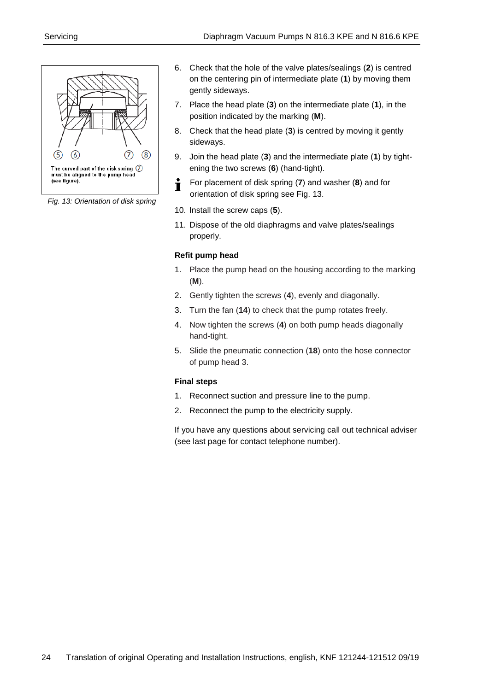

*Fig. 13: Orientation of disk spring*

- 6. Check that the hole of the valve plates/sealings (**2**) is centred on the centering pin of intermediate plate (**1**) by moving them gently sideways.
- 7. Place the head plate (**3**) on the intermediate plate (**1**), in the position indicated by the marking (**M**).
- 8. Check that the head plate (**3**) is centred by moving it gently sideways.
- 9. Join the head plate (**3**) and the intermediate plate (**1**) by tightening the two screws (**6**) (hand-tight).
- For placement of disk spring (**7**) and washer (**8**) and for Ť orientation of disk spring see Fig. 13.
- 10. Install the screw caps (**5**).
- 11. Dispose of the old diaphragms and valve plates/sealings properly.

## **Refit pump head**

- 1. Place the pump head on the housing according to the marking (**M**).
- 2. Gently tighten the screws (**4**), evenly and diagonally.
- 3. Turn the fan (**14**) to check that the pump rotates freely.
- 4. Now tighten the screws (**4**) on both pump heads diagonally hand-tight.
- 5. Slide the pneumatic connection (**18**) onto the hose connector of pump head 3.

## **Final steps**

- 1. Reconnect suction and pressure line to the pump.
- 2. Reconnect the pump to the electricity supply.

If you have any questions about servicing call out technical adviser (see last page for contact telephone number).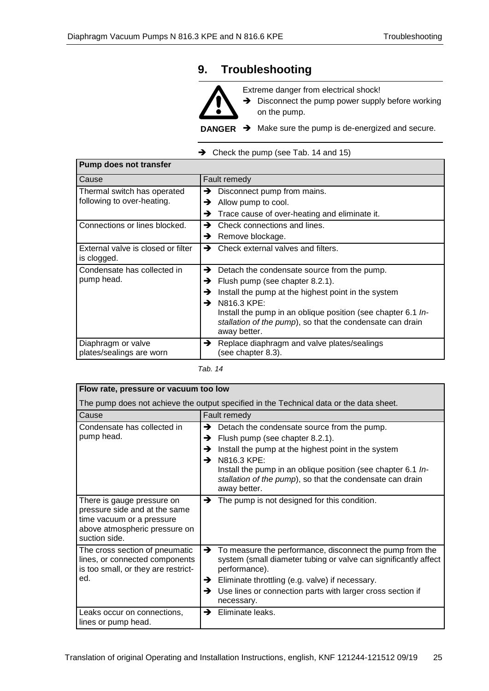# <span id="page-24-0"></span>**9. Troubleshooting**



Extreme danger from electrical shock!

➔ Disconnect the pump power supply before working on the pump.

**DANGER →** Make sure the pump is de-energized and secure.

➔ Check the pump (see Tab. 14 and 15)

| <b>Pump does not transfer</b>                             |                                                                                                                                                                                                                                                                                                                       |  |  |
|-----------------------------------------------------------|-----------------------------------------------------------------------------------------------------------------------------------------------------------------------------------------------------------------------------------------------------------------------------------------------------------------------|--|--|
| Cause                                                     | Fault remedy                                                                                                                                                                                                                                                                                                          |  |  |
| Thermal switch has operated<br>following to over-heating. | Disconnect pump from mains.<br>→<br>Allow pump to cool.<br>→<br>Trace cause of over-heating and eliminate it.<br>→                                                                                                                                                                                                    |  |  |
| Connections or lines blocked.                             | Check connections and lines.<br>→<br>Remove blockage.<br>→                                                                                                                                                                                                                                                            |  |  |
| External valve is closed or filter<br>is clogged.         | $\rightarrow$ Check external valves and filters.                                                                                                                                                                                                                                                                      |  |  |
| Condensate has collected in<br>pump head.                 | Detach the condensate source from the pump.<br>→<br>Flush pump (see chapter 8.2.1).<br>→<br>Install the pump at the highest point in the system<br>→<br>N816.3 KPE:<br>→<br>Install the pump in an oblique position (see chapter 6.1 In-<br>stallation of the pump), so that the condensate can drain<br>away better. |  |  |
| Diaphragm or valve<br>plates/sealings are worn            | →<br>Replace diaphragm and valve plates/sealings<br>(see chapter 8.3).                                                                                                                                                                                                                                                |  |  |

#### *Tab. 14*

| Flow rate, pressure or vacuum too low                                                                                                      |                                                                                                                                                                                                                                                                                                                       |  |
|--------------------------------------------------------------------------------------------------------------------------------------------|-----------------------------------------------------------------------------------------------------------------------------------------------------------------------------------------------------------------------------------------------------------------------------------------------------------------------|--|
| The pump does not achieve the output specified in the Technical data or the data sheet.                                                    |                                                                                                                                                                                                                                                                                                                       |  |
| Cause                                                                                                                                      | Fault remedy                                                                                                                                                                                                                                                                                                          |  |
| Condensate has collected in<br>pump head.                                                                                                  | Detach the condensate source from the pump.<br>→<br>Flush pump (see chapter 8.2.1).<br>→<br>Install the pump at the highest point in the system<br>→<br>N816.3 KPE:<br>→<br>Install the pump in an oblique position (see chapter 6.1 In-<br>stallation of the pump), so that the condensate can drain<br>away better. |  |
| There is gauge pressure on<br>pressure side and at the same<br>time vacuum or a pressure<br>above atmospheric pressure on<br>suction side. | The pump is not designed for this condition.<br>→                                                                                                                                                                                                                                                                     |  |
| The cross section of pneumatic<br>lines, or connected components<br>is too small, or they are restrict-<br>ed.                             | $\rightarrow$ To measure the performance, disconnect the pump from the<br>system (small diameter tubing or valve can significantly affect<br>performance).<br>Eliminate throttling (e.g. valve) if necessary.<br>→<br>Use lines or connection parts with larger cross section if<br>→<br>necessary.                   |  |
| Leaks occur on connections,<br>lines or pump head.                                                                                         | Eliminate leaks.<br>→                                                                                                                                                                                                                                                                                                 |  |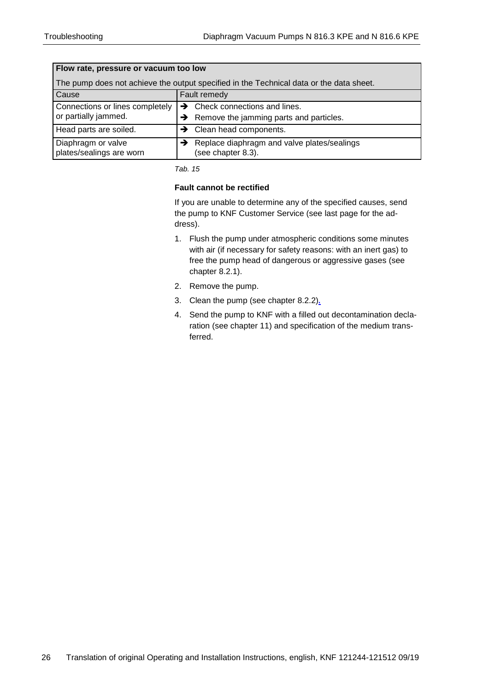| Flow rate, pressure or vacuum too low                                                   |                                                                                            |  |  |
|-----------------------------------------------------------------------------------------|--------------------------------------------------------------------------------------------|--|--|
| The pump does not achieve the output specified in the Technical data or the data sheet. |                                                                                            |  |  |
| Cause                                                                                   | Fault remedy                                                                               |  |  |
| Connections or lines completely<br>or partially jammed.                                 | $\rightarrow$ Check connections and lines.<br>Remove the jamming parts and particles.<br>→ |  |  |
| Head parts are soiled.                                                                  | $\rightarrow$ Clean head components.                                                       |  |  |
| Diaphragm or valve<br>plates/sealings are worn                                          | Replace diaphragm and valve plates/sealings<br>(see chapter 8.3).                          |  |  |

*Tab. 15*

### **Fault cannot be rectified**

If you are unable to determine any of the specified causes, send the pump to KNF Customer Service (see last page for the address).

- 1. Flush the pump under atmospheric conditions some minutes with air (if necessary for safety reasons: with an inert gas) to free the pump head of dangerous or aggressive gases (see chapter 8.2.1).
- 2. Remove the pump.
- 3. Clean the pump (see chapter 8.2.2)*.*
- 4. Send the pump to KNF with a filled out decontamination declaration (see chapter 11) and specification of the medium transferred.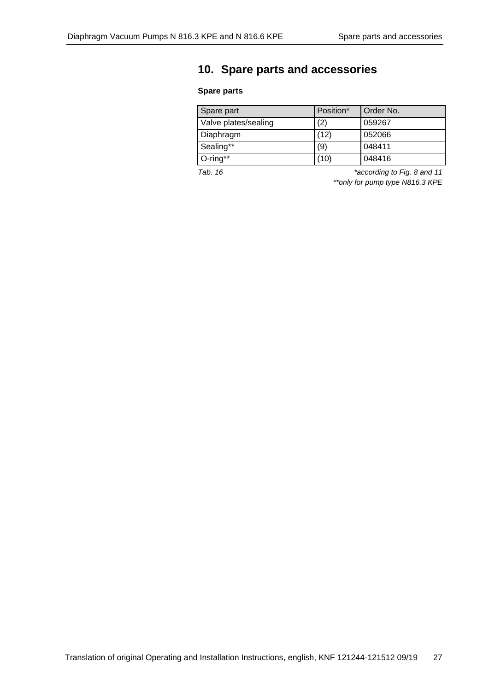# <span id="page-26-0"></span>**10. Spare parts and accessories**

## **Spare parts**

| Spare part           | Position* | Order No. |
|----------------------|-----------|-----------|
| Valve plates/sealing | (2)       | 059267    |
| Diaphragm            | (12)      | 052066    |
| Sealing**            | (9)       | 048411    |
| $O$ -ring**          | ้10       | 048416    |

*Tab. 16 \*according to Fig. 8 and 11 \*\*only for pump type N816.3 KPE*